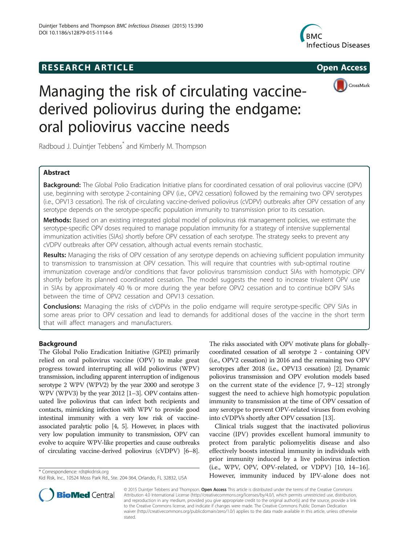## **RESEARCH ARTICLE Example 2014 CONSIDERING CONSIDERING CONSIDERING CONSIDERING CONSIDERING CONSIDERING CONSIDERING CONSIDERING CONSIDERING CONSIDERING CONSIDERING CONSIDERING CONSIDERING CONSIDERING CONSIDERING CONSIDE**







# Managing the risk of circulating vaccinederived poliovirus during the endgame: oral poliovirus vaccine needs

Radboud J. Duintjer Tebbens<sup>\*</sup> and Kimberly M. Thompson

## Abstract

Background: The Global Polio Eradication Initiative plans for coordinated cessation of oral poliovirus vaccine (OPV) use, beginning with serotype 2-containing OPV (i.e., OPV2 cessation) followed by the remaining two OPV serotypes (i.e., OPV13 cessation). The risk of circulating vaccine-derived poliovirus (cVDPV) outbreaks after OPV cessation of any serotype depends on the serotype-specific population immunity to transmission prior to its cessation.

Methods: Based on an existing integrated global model of poliovirus risk management policies, we estimate the serotype-specific OPV doses required to manage population immunity for a strategy of intensive supplemental immunization activities (SIAs) shortly before OPV cessation of each serotype. The strategy seeks to prevent any cVDPV outbreaks after OPV cessation, although actual events remain stochastic.

Results: Managing the risks of OPV cessation of any serotype depends on achieving sufficient population immunity to transmission to transmission at OPV cessation. This will require that countries with sub-optimal routine immunization coverage and/or conditions that favor poliovirus transmission conduct SIAs with homotypic OPV shortly before its planned coordinated cessation. The model suggests the need to increase trivalent OPV use in SIAs by approximately 40 % or more during the year before OPV2 cessation and to continue bOPV SIAs between the time of OPV2 cessation and OPV13 cessation.

**Conclusions:** Managing the risks of cVDPVs in the polio endgame will require serotype-specific OPV SIAs in some areas prior to OPV cessation and lead to demands for additional doses of the vaccine in the short term that will affect managers and manufacturers.

## Background

The Global Polio Eradication Initiative (GPEI) primarily relied on oral poliovirus vaccine (OPV) to make great progress toward interrupting all wild poliovirus (WPV) transmission, including apparent interruption of indigenous serotype 2 WPV (WPV2) by the year 2000 and serotype 3 WPV (WPV3) by the year 2012 [\[1](#page-9-0)–[3](#page-9-0)]. OPV contains attenuated live poliovirus that can infect both recipients and contacts, mimicking infection with WPV to provide good intestinal immunity with a very low risk of vaccineassociated paralytic polio [[4](#page-9-0), [5\]](#page-9-0). However, in places with very low population immunity to transmission, OPV can evolve to acquire WPV-like properties and cause outbreaks of circulating vaccine-derived poliovirus (cVDPV) [\[6](#page-9-0)–[8](#page-9-0)].

The risks associated with OPV motivate plans for globallycoordinated cessation of all serotype 2 - containing OPV (i.e., OPV2 cessation) in 2016 and the remaining two OPV serotypes after 2018 (i.e., OPV13 cessation) [\[2\]](#page-9-0). Dynamic poliovirus transmission and OPV evolution models based on the current state of the evidence [[7](#page-9-0), [9](#page-9-0)–[12](#page-9-0)] strongly suggest the need to achieve high homotypic population immunity to transmission at the time of OPV cessation of any serotype to prevent OPV-related viruses from evolving into cVDPVs shortly after OPV cessation [[13](#page-9-0)].

Clinical trials suggest that the inactivated poliovirus vaccine (IPV) provides excellent humoral immunity to protect from paralytic poliomyelitis disease and also effectively boosts intestinal immunity in individuals with prior immunity induced by a live poliovirus infection (i.e., WPV, OPV, OPV-related, or VDPV) [[10, 14](#page-9-0)–[16](#page-9-0)]. However, immunity induced by IPV-alone does not \* Correspondence: [rdt@kidrisk.org](mailto:rdt@kidrisk.org)



© 2015 Duintjer Tebbens and Thompson. Open Access This article is distributed under the terms of the Creative Commons Attribution 4.0 International License [\(http://creativecommons.org/licenses/by/4.0/](http://creativecommons.org/licenses/by/4.0/)), which permits unrestricted use, distribution, and reproduction in any medium, provided you give appropriate credit to the original author(s) and the source, provide a link to the Creative Commons license, and indicate if changes were made. The Creative Commons Public Domain Dedication waiver [\(http://creativecommons.org/publicdomain/zero/1.0/\)](http://creativecommons.org/publicdomain/zero/1.0/) applies to the data made available in this article, unless otherwise stated

Kid Risk, Inc., 10524 Moss Park Rd., Ste. 204-364, Orlando, FL 32832, USA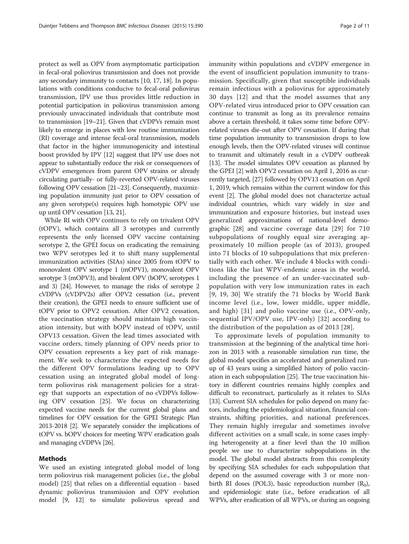protect as well as OPV from asymptomatic participation in fecal-oral poliovirus transmission and does not provide any secondary immunity to contacts [\[10, 17, 18](#page-9-0)]. In populations with conditions conducive to fecal-oral poliovirus transmission, IPV use thus provides little reduction in potential participation in poliovirus transmission among previously unvaccinated individuals that contribute most to transmission [[19](#page-9-0)–[21\]](#page-9-0). Given that cVDPVs remain most likely to emerge in places with low routine immunization (RI) coverage and intense fecal-oral transmission, models that factor in the higher immunogenicity and intestinal boost provided by IPV [\[12\]](#page-9-0) suggest that IPV use does not appear to substantially reduce the risk or consequences of cVDPV emergences from parent OPV strains or already circulating partially- or fully-reverted OPV-related viruses following OPV cessation [\[21](#page-9-0)–[23](#page-9-0)]. Consequently, maximizing population immunity just prior to OPV cessation of any given serotype(s) requires high homotypic OPV use up until OPV cessation [\[13, 21](#page-9-0)].

While RI with OPV continues to rely on trivalent OPV (tOPV), which contains all 3 serotypes and currently represents the only licensed OPV vaccine containing serotype 2, the GPEI focus on eradicating the remaining two WPV serotypes led it to shift many supplemental immunization activities (SIAs) since 2005 from tOPV to monovalent OPV serotype 1 (mOPV1), monovalent OPV serotype 3 (mOPV3), and bivalent OPV (bOPV, serotypes 1 and 3) [[24](#page-9-0)]. However, to manage the risks of serotype 2 cVDPVs (cVDPV2s) after OPV2 cessation (i.e., prevent their creation), the GPEI needs to ensure sufficient use of tOPV prior to OPV2 cessation. After OPV2 cessation, the vaccination strategy should maintain high vaccination intensity, but with bOPV instead of tOPV, until OPV13 cessation. Given the lead times associated with vaccine orders, timely planning of OPV needs prior to OPV cessation represents a key part of risk management. We seek to characterize the expected needs for the different OPV formulations leading up to OPV cessation using an integrated global model of longterm poliovirus risk management policies for a strategy that supports an expectation of no cVDPVs following OPV cessation [\[25\]](#page-9-0). We focus on characterizing expected vaccine needs for the current global plans and timelines for OPV cessation for the GPEI Strategic Plan 2013-2018 [[2](#page-9-0)]. We separately consider the implications of tOPV vs. bOPV choices for meeting WPV eradication goals and managing cVDPVs [[26](#page-9-0)].

## Methods

We used an existing integrated global model of long term poliovirus risk management policies (i.e., the global model) [[25\]](#page-9-0) that relies on a differential equation - based dynamic poliovirus transmission and OPV evolution model [[9, 12](#page-9-0)] to simulate poliovirus spread and

immunity within populations and cVDPV emergence in the event of insufficient population immunity to transmission. Specifically, given that susceptible individuals remain infectious with a poliovirus for approximately 30 days [[12](#page-9-0)] and that the model assumes that any OPV-related virus introduced prior to OPV cessation can continue to transmit as long as its prevalence remains above a certain threshold, it takes some time before OPVrelated viruses die-out after OPV cessation. If during that time population immunity to transmission drops to low enough levels, then the OPV-related viruses will continue to transmit and ultimately result in a cVDPV outbreak [[13](#page-9-0)]. The model simulates OPV cessation as planned by the GPEI [[2\]](#page-9-0) with OPV2 cessation on April 1, 2016 as currently targeted, [\[27](#page-9-0)] followed by OPV13 cessation on April 1, 2019, which remains within the current window for this event [\[2](#page-9-0)]. The global model does not characterize actual individual countries, which vary widely in size and immunization and exposure histories, but instead uses generalized approximations of national-level demographic [[28](#page-9-0)] and vaccine coverage data [[29\]](#page-9-0) for 710 subpopulations of roughly equal size averaging approximately 10 million people (as of 2013), grouped into 71 blocks of 10 subpopulations that mix preferentially with each other. We include 4 blocks with conditions like the last WPV-endemic areas in the world, including the presence of an under-vaccinated subpopulation with very low immunization rates in each [[9](#page-9-0), [19](#page-9-0), [30\]](#page-9-0) We stratify the 71 blocks by World Bank income level (i.e., low, lower middle, upper middle, and high) [\[31\]](#page-9-0) and polio vaccine use (i.e., OPV-only, sequential IPV/OPV use, IPV-only) [\[32\]](#page-9-0) according to the distribution of the population as of 2013 [[28](#page-9-0)].

To approximate levels of population immunity to transmission at the beginning of the analytical time horizon in 2013 with a reasonable simulation run time, the global model specifies an accelerated and generalized runup of 43 years using a simplified history of polio vaccination in each subpopulation [\[25\]](#page-9-0). The true vaccination history in different countries remains highly complex and difficult to reconstruct, particularly as it relates to SIAs [[33](#page-9-0)]. Current SIA schedules for polio depend on many factors, including the epidemiological situation, financial constraints, shifting priorities, and national preferences. They remain highly irregular and sometimes involve different activities on a small scale, in some cases implying heterogeneity at a finer level than the 10 million people we use to characterize subpopulations in the model. The global model abstracts from this complexity by specifying SIA schedules for each subpopulation that depend on the assumed coverage with 3 or more nonbirth RI doses (POL3), basic reproduction number  $(R_0)$ , and epidemiologic state (i.e., before eradication of all WPVs, after eradication of all WPVs, or during an ongoing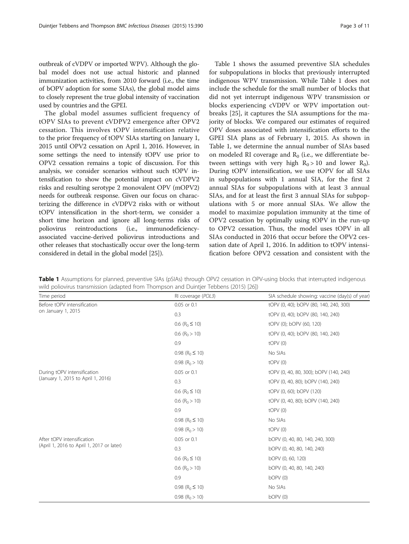<span id="page-2-0"></span>outbreak of cVDPV or imported WPV). Although the global model does not use actual historic and planned immunization activities, from 2010 forward (i.e., the time of bOPV adoption for some SIAs), the global model aims to closely represent the true global intensity of vaccination used by countries and the GPEI.

The global model assumes sufficient frequency of tOPV SIAs to prevent cVDPV2 emergence after OPV2 cessation. This involves tOPV intensification relative to the prior frequency of tOPV SIAs starting on January 1, 2015 until OPV2 cessation on April 1, 2016. However, in some settings the need to intensify tOPV use prior to OPV2 cessation remains a topic of discussion. For this analysis, we consider scenarios without such tOPV intensification to show the potential impact on cVDPV2 risks and resulting serotype 2 monovalent OPV (mOPV2) needs for outbreak response. Given our focus on characterizing the difference in cVDPV2 risks with or without tOPV intensification in the short-term, we consider a short time horizon and ignore all long-terms risks of poliovirus reintroductions (i.e., immunodeficiencyassociated vaccine-derived poliovirus introductions and other releases that stochastically occur over the long-term considered in detail in the global model [\[25\]](#page-9-0)).

Table 1 shows the assumed preventive SIA schedules for subpopulations in blocks that previously interrupted indigenous WPV transmission. While Table 1 does not include the schedule for the small number of blocks that did not yet interrupt indigenous WPV transmission or blocks experiencing cVDPV or WPV importation outbreaks [[25](#page-9-0)], it captures the SIA assumptions for the majority of blocks. We compared our estimates of required OPV doses associated with intensification efforts to the GPEI SIA plans as of February 1, 2015. As shown in Table 1, we determine the annual number of SIAs based on modeled RI coverage and  $R_0$  (i.e., we differentiate between settings with very high  $R_0 > 10$  and lower  $R_0$ ). During tOPV intensification, we use tOPV for all SIAs in subpopulations with 1 annual SIA, for the first 2 annual SIAs for subpopulations with at least 3 annual SIAs, and for at least the first 3 annual SIAs for subpopulations with 5 or more annual SIAs. We allow the model to maximize population immunity at the time of OPV2 cessation by optimally using tOPV in the run-up to OPV2 cessation. Thus, the model uses tOPV in all SIAs conducted in 2016 that occur before the OPV2 cessation date of April 1, 2016. In addition to tOPV intensification before OPV2 cessation and consistent with the

Table 1 Assumptions for planned, preventive SIAs (pSIAs) through OPV2 cessation in OPV-using blocks that interrupted indigenous wild poliovirus transmission (adapted from Thompson and Duintjer Tebbens (2015) [[26\]](#page-9-0))

| Time period                                                             | RI coverage (POL3)                | SIA schedule showing: vaccine (day(s) of year) |  |
|-------------------------------------------------------------------------|-----------------------------------|------------------------------------------------|--|
| Before tOPV intensification<br>on January 1, 2015                       | 0.05 or 0.1                       | tOPV (0, 40); bOPV (80, 140, 240, 300)         |  |
|                                                                         | 0.3                               | tOPV (0, 40); bOPV (80, 140, 240)              |  |
|                                                                         | $0.6$ (R <sub>0</sub> $\leq$ 10)  | tOPV (0); bOPV (60, 120)                       |  |
|                                                                         | $0.6$ (R <sub>0</sub> > 10)       | tOPV (0, 40); bOPV (80, 140, 240)              |  |
|                                                                         | 0.9                               | tOPV(0)                                        |  |
|                                                                         | $0.98$ (R <sub>0</sub> $\leq$ 10) | No SIAs                                        |  |
|                                                                         | $0.98$ (R <sub>0</sub> $> 10$ )   | tOPV(0)                                        |  |
| During tOPV intensification<br>(January 1, 2015 to April 1, 2016)       | 0.05 or 0.1                       | tOPV (0, 40, 80, 300); bOPV (140, 240)         |  |
|                                                                         | 0.3                               | tOPV (0, 40, 80); bOPV (140, 240)              |  |
|                                                                         | $0.6~(\mathsf{R}_0\leq10)$        | tOPV (0, 60); bOPV (120)                       |  |
|                                                                         | 0.6 (R <sub>0</sub> $>$ 10)       | tOPV (0, 40, 80); bOPV (140, 240)              |  |
|                                                                         | 0.9                               | tOPV(0)                                        |  |
|                                                                         | $0.98$ (R <sub>0</sub> $\leq$ 10) | No SIAs                                        |  |
|                                                                         | $0.98$ (R <sub>0</sub> $> 10$ )   | tOPV(0)                                        |  |
| After tOPV intensification<br>(April 1, 2016 to April 1, 2017 or later) | 0.05 or 0.1                       | bOPV (0, 40, 80, 140, 240, 300)                |  |
|                                                                         | 0.3                               | bOPV (0, 40, 80, 140, 240)                     |  |
|                                                                         | $0.6$ (R <sub>0</sub> $\leq$ 10)  | bOPV (0, 60, 120)                              |  |
|                                                                         | $0.6$ (R <sub>0</sub> > 10)       | bOPV (0, 40, 80, 140, 240)                     |  |
|                                                                         | 0.9                               | bOPV(0)                                        |  |
|                                                                         | $0.98$ (R <sub>0</sub> $\leq$ 10) | No SIAs                                        |  |
|                                                                         | 0.98 (R <sub>0</sub> $>$ 10)      | bOPV(0)                                        |  |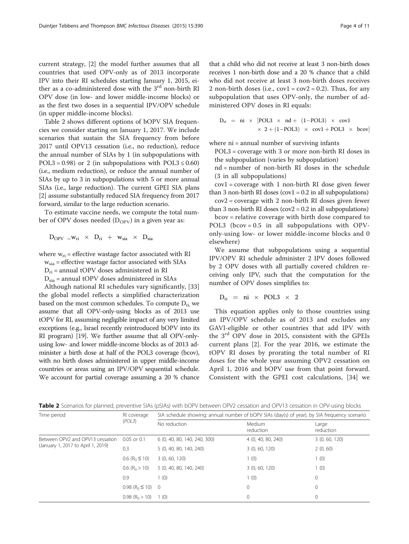<span id="page-3-0"></span>current strategy, [[2\]](#page-9-0) the model further assumes that all countries that used OPV-only as of 2013 incorporate IPV into their RI schedules starting January 1, 2015, either as a co-administered dose with the 3<sup>rd</sup> non-birth RI OPV dose (in low- and lower middle-income blocks) or as the first two doses in a sequential IPV/OPV schedule (in upper middle-income blocks).

Table 2 shows different options of bOPV SIA frequencies we consider starting on January 1, 2017. We include scenarios that sustain the SIA frequency from before 2017 until OPV13 cessation (i.e., no reduction), reduce the annual number of SIAs by 1 (in subpopulations with POL3 = 0.98) or 2 (in subpopulations with POL3  $\leq$  0.60) (i.e., medium reduction), or reduce the annual number of SIAs by up to 3 in subpopulations with 5 or more annual SIAs (i.e., large reduction). The current GPEI SIA plans [[2\]](#page-9-0) assume substantially reduced SIA frequency from 2017 forward, similar to the large reduction scenario.

To estimate vaccine needs, we compute the total number of OPV doses needed  $(D_{OPV})$  in a given year as:

 $D_{\rm OPV}$  =Wri  $\times$   $D_{\rm ri}$  + Wsia  $\times$   $D_{\rm sia}$ 

where  $w_{ri}$  = effective wastage factor associated with RI

 $w_{sia}$  = effective wastage factor associated with SIAs

 $D_{ri}$  = annual tOPV doses administered in RI

 $D_{\text{sia}}$  = annual tOPV doses administered in SIAs

Although national RI schedules vary significantly, [\[33](#page-9-0)] the global model reflects a simplified characterization based on the most common schedules. To compute  $D_{ri}$ , we assume that all OPV-only-using blocks as of 2013 use tOPV for RI, assuming negligible impact of any very limited exceptions (e.g., Israel recently reintroduced bOPV into its RI program) [[19](#page-9-0)]. We further assume that all OPV-onlyusing low- and lower middle-income blocks as of 2013 administer a birth dose at half of the POL3 coverage (bcov), with no birth doses administered in upper middle-income countries or areas using an IPV/OPV sequential schedule. We account for partial coverage assuming a 20 % chance that a child who did not receive at least 3 non-birth doses receives 1 non-birth dose and a 20 % chance that a child who did not receive at least 3 non-birth doses receives 2 non-birth doses (i.e.,  $cov1 = cov2 = 0.2$ ). Thus, for any subpopulation that uses OPV-only, the number of administered OPV doses in RI equals:

$$
\begin{array}{lcl} D_{ri} & = & ni \; \times \; \left[ \text{POL3} \; \times \; nd + \; \left( 1 {-} \text{POL3} \right) \; \times \; \text{cov1} \right. \\ & \; \times \; 2 + \left( 1 {-} \text{POL3} \right) \; \times \; \text{cov1} + \text{POL3} \; \times \; \text{bcov} \right] \end{array}
$$

where ni = annual number of surviving infants

POL3 = coverage with 3 or more non-birth RI doses in the subpopulation (varies by subpopulation)

nd = number of non-birth RI doses in the schedule (3 in all subpopulations)

 $cov1 = cov$ erage with 1 non-birth RI dose given fewer than 3 non-birth RI doses ( $cov1 = 0.2$  in all subpopulations)

 $cov2 = cov$ erage with 2 non-birth RI doses given fewer than 3 non-birth RI doses ( $cov2 = 0.2$  in all subpopulations)

bcov = relative coverage with birth dose compared to POL3 (bcov =  $0.5$  in all subpopulations with OPVonly-using low- or lower middle-income blocks and 0 elsewhere)

We assume that subpopulations using a sequential IPV/OPV RI schedule administer 2 IPV doses followed by 2 OPV doses with all partially covered children receiving only IPV, such that the computation for the number of OPV doses simplifies to:

$$
D_{ri}~=~ni~\times~POL3~\times~2
$$

This equation applies only to those countries using an IPV/OPV schedule as of 2013 and excludes any GAVI-eligible or other countries that add IPV with the  $3<sup>rd</sup>$  OPV dose in 2015, consistent with the GPEIs current plans [[2\]](#page-9-0). For the year 2016, we estimate the tOPV RI doses by prorating the total number of RI doses for the whole year assuming OPV2 cessation on April 1, 2016 and bOPV use from that point forward. Consistent with the GPEI cost calculations, [\[34](#page-9-0)] we

Table 2 Scenarios for planned, preventive SIAs (pSIAs) with bOPV between OPV2 cessation and OPV13 cessation in OPV-using blocks

| Time period                                                            | RI coverage<br>(POL3)               | SIA schedule showing: annual number of bOPV SIAs (day(s) of year), by SIA frequency scenario |                     |                    |
|------------------------------------------------------------------------|-------------------------------------|----------------------------------------------------------------------------------------------|---------------------|--------------------|
|                                                                        |                                     | No reduction                                                                                 | Medium<br>reduction | Large<br>reduction |
| Between OPV2 and OPV13 cessation<br>(January 1, 2017 to April 1, 2019) | $0.05$ or 0.1                       | 6 (0, 40, 80, 140, 240, 300)                                                                 | 4(0, 40, 80, 240)   | 3(0, 60, 120)      |
|                                                                        | 0.3                                 | 5 (0, 40, 80, 140, 240)                                                                      | 3(0, 60, 120)       | 2(0, 60)           |
|                                                                        | $0.6$ (R <sub>0</sub> $\leq$ 10)    | 3(0, 60, 120)                                                                                | 1(0)                | (0)                |
|                                                                        | $0.6$ (R <sub>0</sub> > 10)         | 5 (0, 40, 80, 140, 240)                                                                      | 3(0, 60, 120)       | (0)                |
|                                                                        | 0.9                                 | 1(0)                                                                                         | 1(0)                | 0                  |
|                                                                        | $0.98$ (R <sub>0</sub> $\leq$ 10) 0 |                                                                                              | $\mathbf{0}$        | 0                  |
|                                                                        | $0.98$ (R <sub>0</sub> $> 10$ )     | 1(0)                                                                                         | $\mathbf{0}$        | 0                  |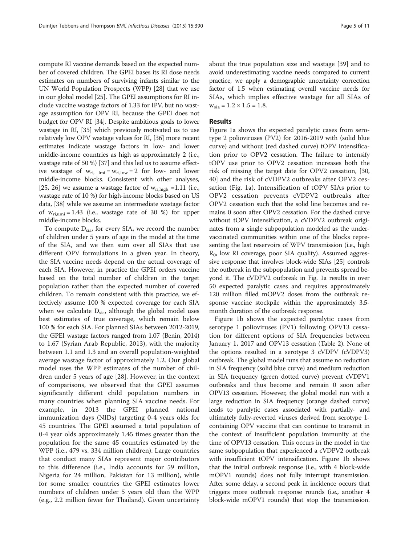compute RI vaccine demands based on the expected number of covered children. The GPEI bases its RI dose needs estimates on numbers of surviving infants similar to the UN World Population Prospects (WPP) [\[28\]](#page-9-0) that we use in our global model [\[25\]](#page-9-0). The GPEI assumptions for RI include vaccine wastage factors of 1.33 for IPV, but no wastage assumption for OPV RI, because the GPEI does not budget for OPV RI [\[34\]](#page-9-0). Despite ambitious goals to lower wastage in RI, [\[35\]](#page-9-0) which previously motivated us to use relatively low OPV wastage values for RI, [\[36](#page-9-0)] more recent estimates indicate wastage factors in low- and lower middle-income countries as high as approximately 2 (i.e., wastage rate of 50 %) [[37](#page-10-0)] and this led us to assume effective wastage of  $w_{ri, \text{lmi}} = w_{ri, \text{low}} = 2$  for low- and lower middle-income blocks. Consistent with other analyses, [[25](#page-9-0), [26\]](#page-9-0) we assume a wastage factor of  $w_{\text{ri,high}} = 1.11$  (i.e., wastage rate of 10 %) for high-income blocks based on US data, [[38](#page-10-0)] while we assume an intermediate wastage factor of  $w_{ri,umi} = 1.43$  (i.e., wastage rate of 30 %) for upper middle-income blocks.

To compute  $D_{\text{sia}}$ , for every SIA, we record the number of children under 5 years of age in the model at the time of the SIA, and we then sum over all SIAs that use different OPV formulations in a given year. In theory, the SIA vaccine needs depend on the actual coverage of each SIA. However, in practice the GPEI orders vaccine based on the total number of children in the target population rather than the expected number of covered children. To remain consistent with this practice, we effectively assume 100 % expected coverage for each SIA when we calculate  $D_{sia}$ , although the global model uses best estimates of true coverage, which remain below 100 % for each SIA. For planned SIAs between 2012-2019, the GPEI wastage factors ranged from 1.07 (Benin, 2014) to 1.67 (Syrian Arab Republic, 2013), with the majority between 1.1 and 1.3 and an overall population-weighted average wastage factor of approximately 1.2. Our global model uses the WPP estimates of the number of children under 5 years of age [[28\]](#page-9-0). However, in the context of comparisons, we observed that the GPEI assumes significantly different child population numbers in many countries when planning SIA vaccine needs. For example, in 2013 the GPEI planned national immunization days (NIDs) targeting 0-4 years olds for 45 countries. The GPEI assumed a total population of 0-4 year olds approximately 1.45 times greater than the population for the same 45 countries estimated by the WPP (i.e., 479 vs. 334 million children). Large countries that conduct many SIAs represent major contributors to this difference (i.e., India accounts for 59 million, Nigeria for 24 million, Pakistan for 13 million), while for some smaller countries the GPEI estimates lower numbers of children under 5 years old than the WPP (e.g., 2.2 million fewer for Thailand). Given uncertainty about the true population size and wastage [[39\]](#page-10-0) and to avoid underestimating vaccine needs compared to current practice, we apply a demographic uncertainty correction factor of 1.5 when estimating overall vaccine needs for SIAs, which implies effective wastage for all SIAs of  $w_{\text{sia}} = 1.2 \times 1.5 = 1.8.$ 

## Results

Figure [1a](#page-5-0) shows the expected paralytic cases from serotype 2 polioviruses (PV2) for 2016-2019 with (solid blue curve) and without (red dashed curve) tOPV intensification prior to OPV2 cessation. The failure to intensify tOPV use prior to OPV2 cessation increases both the risk of missing the target date for OPV2 cessation, [[30](#page-9-0), [40\]](#page-10-0) and the risk of cVDPV2 outbreaks after OPV2 cessation (Fig. [1a](#page-5-0)). Intensification of tOPV SIAs prior to OPV2 cessation prevents cVDPV2 outbreaks after OPV2 cessation such that the solid line becomes and remains 0 soon after OPV2 cessation. For the dashed curve without tOPV intensification, a cVDPV2 outbreak originates from a single subpopulation modeled as the undervaccinated communities within one of the blocks representing the last reservoirs of WPV transmission (i.e., high  $R<sub>0</sub>$  low RI coverage, poor SIA quality). Assumed aggressive response that involves block-wide SIAs [[25](#page-9-0)] controls the outbreak in the subpopulation and prevents spread beyond it. The cVDPV2 outbreak in Fig. [1a](#page-5-0) results in over 50 expected paralytic cases and requires approximately 120 million filled mOPV2 doses from the outbreak response vaccine stockpile within the approximately 3.5 month duration of the outbreak response.

Figure [1b](#page-5-0) shows the expected paralytic cases from serotype 1 polioviruses (PV1) following OPV13 cessation for different options of SIA frequencies between January 1, 2017 and OPV13 cessation (Table [2\)](#page-3-0). None of the options resulted in a serotype 3 cVDPV (cVDPV3) outbreak. The global model runs that assume no reduction in SIA frequency (solid blue curve) and medium reduction in SIA frequency (green dotted curve) prevent cVDPV1 outbreaks and thus become and remain 0 soon after OPV13 cessation. However, the global model run with a large reduction in SIA frequency (orange dashed curve) leads to paralytic cases associated with partially- and ultimately fully-reverted viruses derived from serotype 1 containing OPV vaccine that can continue to transmit in the context of insufficient population immunity at the time of OPV13 cessation. This occurs in the model in the same subpopulation that experienced a cVDPV2 outbreak with insufficient tOPV intensification. Figure [1b](#page-5-0) shows that the initial outbreak response (i.e., with 4 block-wide mOPV1 rounds) does not fully interrupt transmission. After some delay, a second peak in incidence occurs that triggers more outbreak response rounds (i.e., another 4 block-wide mOPV1 rounds) that stop the transmission.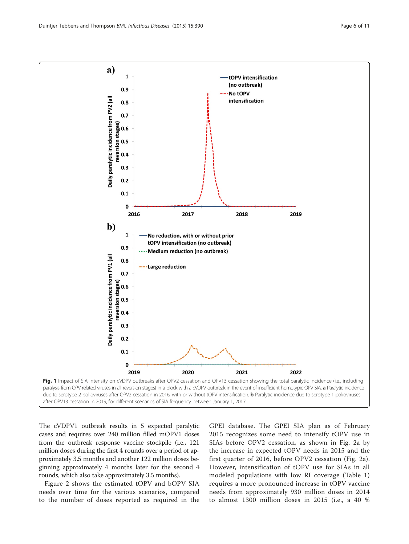<span id="page-5-0"></span>

The cVDPV1 outbreak results in 5 expected paralytic cases and requires over 240 million filled mOPV1 doses from the outbreak response vaccine stockpile (i.e., 121 million doses during the first 4 rounds over a period of approximately 3.5 months and another 122 million doses beginning approximately 4 months later for the second 4 rounds, which also take approximately 3.5 months).

Figure [2](#page-6-0) shows the estimated tOPV and bOPV SIA needs over time for the various scenarios, compared to the number of doses reported as required in the

GPEI database. The GPEI SIA plan as of February 2015 recognizes some need to intensify tOPV use in SIAs before OPV2 cessation, as shown in Fig. [2a](#page-6-0) by the increase in expected tOPV needs in 2015 and the first quarter of 2016, before OPV2 cessation (Fig. [2a](#page-6-0)). However, intensification of tOPV use for SIAs in all modeled populations with low RI coverage (Table [1](#page-2-0)) requires a more pronounced increase in tOPV vaccine needs from approximately 930 million doses in 2014 to almost 1300 million doses in 2015 (i.e., a 40 %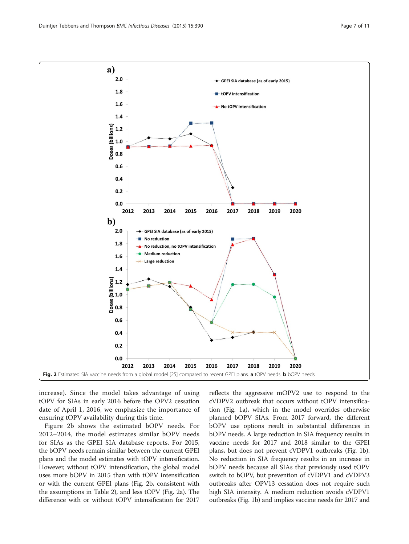<span id="page-6-0"></span>

increase). Since the model takes advantage of using tOPV for SIAs in early 2016 before the OPV2 cessation date of April 1, 2016, we emphasize the importance of ensuring tOPV availability during this time.

Figure 2b shows the estimated bOPV needs. For 2012–2014, the model estimates similar bOPV needs for SIAs as the GPEI SIA database reports. For 2015, the bOPV needs remain similar between the current GPEI plans and the model estimates with tOPV intensification. However, without tOPV intensification, the global model uses more bOPV in 2015 than with tOPV intensification or with the current GPEI plans (Fig. 2b, consistent with the assumptions in Table [2](#page-3-0)), and less tOPV (Fig. 2a). The difference with or without tOPV intensification for 2017

reflects the aggressive mOPV2 use to respond to the cVDPV2 outbreak that occurs without tOPV intensification (Fig. [1a\)](#page-5-0), which in the model overrides otherwise planned bOPV SIAs. From 2017 forward, the different bOPV use options result in substantial differences in bOPV needs. A large reduction in SIA frequency results in vaccine needs for 2017 and 2018 similar to the GPEI plans, but does not prevent cVDPV1 outbreaks (Fig. [1b](#page-5-0)). No reduction in SIA frequency results in an increase in bOPV needs because all SIAs that previously used tOPV switch to bOPV, but prevention of cVDPV1 and cVDPV3 outbreaks after OPV13 cessation does not require such high SIA intensity. A medium reduction avoids cVDPV1 outbreaks (Fig. [1b](#page-5-0)) and implies vaccine needs for 2017 and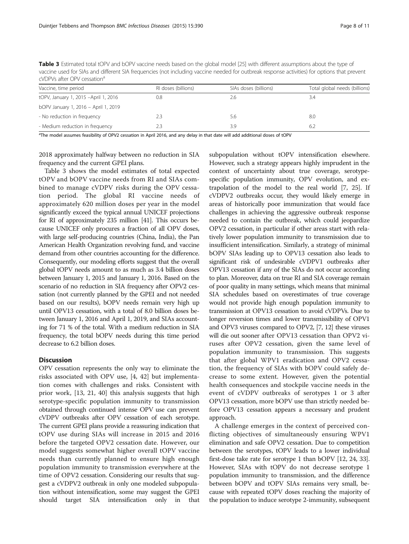Table 3 Estimated total tOPV and bOPV vaccine needs based on the global model [\[25\]](#page-9-0) with different assumptions about the type of vaccine used for SIAs and different SIA frequencies (not including vaccine needed for outbreak response activities) for options that prevent cVDPVs after OPV cessation<sup>a</sup>

| Vaccine, time period                  | RI doses (billions) | SIAs doses (billions) | Total global needs (billions) |
|---------------------------------------|---------------------|-----------------------|-------------------------------|
| tOPV, January 1, 2015 - April 1, 2016 | 0.8                 | 2.6                   | 3.4                           |
| bOPV January 1, 2016 - April 1, 2019  |                     |                       |                               |
| - No reduction in frequency           |                     | 5.6                   | 8.0                           |
| - Medium reduction in frequency       |                     | 3.9                   | 6.2                           |

<sup>a</sup>The model assumes feasibility of OPV2 cessation in April 2016, and any delay in that date will add additional doses of tOPV

2018 approximately halfway between no reduction in SIA frequency and the current GPEI plans.

Table 3 shows the model estimates of total expected tOPV and bOPV vaccine needs from RI and SIAs combined to manage cVDPV risks during the OPV cessation period. The global RI vaccine needs of approximately 620 million doses per year in the model significantly exceed the typical annual UNICEF projections for RI of approximately 235 million [[41](#page-10-0)]. This occurs because UNICEF only procures a fraction of all OPV doses, with large self-producing countries (China, India), the Pan American Health Organization revolving fund, and vaccine demand from other countries accounting for the difference. Consequently, our modeling efforts suggest that the overall global tOPV needs amount to as much as 3.4 billion doses between January 1, 2015 and January 1, 2016. Based on the scenario of no reduction in SIA frequency after OPV2 cessation (not currently planned by the GPEI and not needed based on our results), bOPV needs remain very high up until OPV13 cessation, with a total of 8.0 billion doses between January 1, 2016 and April 1, 2019, and SIAs accounting for 71 % of the total. With a medium reduction in SIA frequency, the total bOPV needs during this time period decrease to 6.2 billion doses.

#### **Discussion**

OPV cessation represents the only way to eliminate the risks associated with OPV use, [\[4](#page-9-0), [42\]](#page-10-0) but implementation comes with challenges and risks. Consistent with prior work, [\[13](#page-9-0), [21](#page-9-0), [40](#page-10-0)] this analysis suggests that high serotype-specific population immunity to transmission obtained through continued intense OPV use can prevent cVDPV outbreaks after OPV cessation of each serotype. The current GPEI plans provide a reassuring indication that tOPV use during SIAs will increase in 2015 and 2016 before the targeted OPV2 cessation date. However, our model suggests somewhat higher overall tOPV vaccine needs than currently planned to ensure high enough population immunity to transmission everywhere at the time of OPV2 cessation. Considering our results that suggest a cVDPV2 outbreak in only one modeled subpopulation without intensification, some may suggest the GPEI should target SIA intensification only in that

subpopulation without tOPV intensification elsewhere. However, such a strategy appears highly imprudent in the context of uncertainty about true coverage, serotypespecific population immunity, OPV evolution, and extrapolation of the model to the real world [[7, 25\]](#page-9-0). If cVDPV2 outbreaks occur, they would likely emerge in areas of historically poor immunization that would face challenges in achieving the aggressive outbreak response needed to contain the outbreak, which could jeopardize OPV2 cessation, in particular if other areas start with relatively lower population immunity to transmission due to insufficient intensification. Similarly, a strategy of minimal bOPV SIAs leading up to OPV13 cessation also leads to significant risk of undesirable cVDPV1 outbreaks after OPV13 cessation if any of the SIAs do not occur according to plan. Moreover, data on true RI and SIA coverage remain of poor quality in many settings, which means that minimal SIA schedules based on overestimates of true coverage would not provide high enough population immunity to transmission at OPV13 cessation to avoid cVDPVs. Due to longer reversion times and lower transmissibility of OPV1 and OPV3 viruses compared to OPV2, [[7](#page-9-0), [12\]](#page-9-0) these viruses will die out sooner after OPV13 cessation than OPV2 viruses after OPV2 cessation, given the same level of population immunity to transmission. This suggests that after global WPV1 eradication and OPV2 cessation, the frequency of SIAs with bOPV could safely decrease to some extent. However, given the potential health consequences and stockpile vaccine needs in the event of cVDPV outbreaks of serotypes 1 or 3 after OPV13 cessation, more bOPV use than strictly needed before OPV13 cessation appears a necessary and prudent approach.

A challenge emerges in the context of perceived conflicting objectives of simultaneously ensuring WPV1 elimination and safe OPV2 cessation. Due to competition between the serotypes, tOPV leads to a lower individual first-dose take rate for serotype 1 than bOPV [\[12, 24, 33](#page-9-0)]. However, SIAs with tOPV do not decrease serotype 1 population immunity to transmission, and the difference between bOPV and tOPV SIAs remains very small, because with repeated tOPV doses reaching the majority of the population to induce serotype 2-immunity, subsequent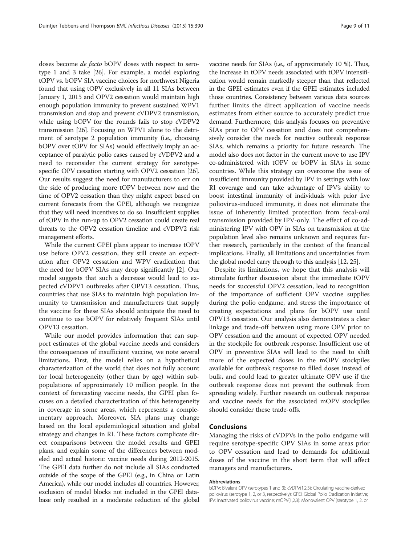doses become de facto bOPV doses with respect to serotype 1 and 3 take [[26](#page-9-0)]. For example, a model exploring tOPV vs. bOPV SIA vaccine choices for northwest Nigeria found that using tOPV exclusively in all 11 SIAs between January 1, 2015 and OPV2 cessation would maintain high enough population immunity to prevent sustained WPV1 transmission and stop and prevent cVDPV2 transmission, while using bOPV for the rounds fails to stop cVDPV2 transmission [\[26\]](#page-9-0). Focusing on WPV1 alone to the detriment of serotype 2 population immunity (i.e., choosing bOPV over tOPV for SIAs) would effectively imply an acceptance of paralytic polio cases caused by cVDPV2 and a need to reconsider the current strategy for serotypespecific OPV cessation starting with OPV2 cessation [[26](#page-9-0)]. Our results suggest the need for manufacturers to err on the side of producing more tOPV between now and the time of OPV2 cessation than they might expect based on current forecasts from the GPEI, although we recognize that they will need incentives to do so. Insufficient supplies of tOPV in the run-up to OPV2 cessation could create real threats to the OPV2 cessation timeline and cVDPV2 risk management efforts.

While the current GPEI plans appear to increase tOPV use before OPV2 cessation, they still create an expectation after OPV2 cessation and WPV eradication that the need for bOPV SIAs may drop significantly [\[2](#page-9-0)]. Our model suggests that such a decrease would lead to expected cVDPV1 outbreaks after OPV13 cessation. Thus, countries that use SIAs to maintain high population immunity to transmission and manufacturers that supply the vaccine for these SIAs should anticipate the need to continue to use bOPV for relatively frequent SIAs until OPV13 cessation.

While our model provides information that can support estimates of the global vaccine needs and considers the consequences of insufficient vaccine, we note several limitations. First, the model relies on a hypothetical characterization of the world that does not fully account for local heterogeneity (other than by age) within subpopulations of approximately 10 million people. In the context of forecasting vaccine needs, the GPEI plan focuses on a detailed characterization of this heterogeneity in coverage in some areas, which represents a complementary approach. Moreover, SIA plans may change based on the local epidemiological situation and global strategy and changes in RI. These factors complicate direct comparisons between the model results and GPEI plans, and explain some of the differences between modeled and actual historic vaccine needs during 2012-2015. The GPEI data further do not include all SIAs conducted outside of the scope of the GPEI (e.g., in China or Latin America), while our model includes all countries. However, exclusion of model blocks not included in the GPEI database only resulted in a moderate reduction of the global vaccine needs for SIAs (i.e., of approximately 10 %). Thus, the increase in tOPV needs associated with tOPV intensification would remain markedly steeper than that reflected in the GPEI estimates even if the GPEI estimates included those countries. Consistency between various data sources further limits the direct application of vaccine needs estimates from either source to accurately predict true demand. Furthermore, this analysis focuses on preventive SIAs prior to OPV cessation and does not comprehensively consider the needs for reactive outbreak response SIAs, which remains a priority for future research. The model also does not factor in the current move to use IPV co-administered with tOPV or bOPV in SIAs in some countries. While this strategy can overcome the issue of insufficient immunity provided by IPV in settings with low RI coverage and can take advantage of IPV's ability to boost intestinal immunity of individuals with prior live poliovirus-induced immunity, it does not eliminate the issue of inherently limited protection from fecal-oral transmission provided by IPV-only. The effect of co-administering IPV with OPV in SIAs on transmission at the population level also remains unknown and requires further research, particularly in the context of the financial implications. Finally, all limitations and uncertainties from the global model carry through to this analysis [\[12, 25](#page-9-0)].

Despite its limitations, we hope that this analysis will stimulate further discussion about the immediate tOPV needs for successful OPV2 cessation, lead to recognition of the importance of sufficient OPV vaccine supplies during the polio endgame, and stress the importance of creating expectations and plans for bOPV use until OPV13 cessation. Our analysis also demonstrates a clear linkage and trade-off between using more OPV prior to OPV cessation and the amount of expected OPV needed in the stockpile for outbreak response. Insufficient use of OPV in preventive SIAs will lead to the need to shift more of the expected doses in the mOPV stockpiles available for outbreak response to filled doses instead of bulk, and could lead to greater ultimate OPV use if the outbreak response does not prevent the outbreak from spreading widely. Further research on outbreak response and vaccine needs for the associated mOPV stockpiles should consider these trade-offs.

## Conclusions

Managing the risks of cVDPVs in the polio endgame will require serotype-specific OPV SIAs in some areas prior to OPV cessation and lead to demands for additional doses of the vaccine in the short term that will affect managers and manufacturers.

#### Abbreviations

bOPV: Bivalent OPV (serotypes 1 and 3); cVDPV(1,2,3): Circulating vaccine-derived poliovirus (serotype 1, 2, or 3, respectively); GPEI: Global Polio Eradication Initiative; IPV: Inactivated poliovirus vaccine; mOPV(1,2,3): Monovalent OPV (serotype 1, 2, or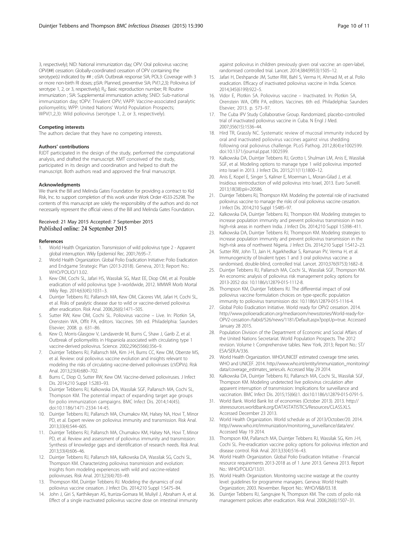<span id="page-9-0"></span>3, respectively); NID: National immunization day; OPV: Oral poliovirus vaccine; OPV(##) cessation: Globally-coordinated cessation of OPV containing the serotype(s) indicated by ## ; oSIA: Outbreak response SIA; POL3: Coverage with 3 or more non-birth RI doses; pSIA: Planned, preventive SIA; PV(1,2,3): Poliovirus (of serotype 1, 2, or 3, respectively); R<sub>0</sub>: Basic reproduction number; RI: Routine immunization ; SIA: Supplemental immunization activity; SNID: Sub-national immunization day; tOPV: Trivalent OPV; VAPP: Vaccine-associated paralytic poliomyelitis; WPP: United Nations' World Population Prospects; WPV(1,2,3): Wild poliovirus (serotype 1, 2, or 3, respectively).

#### Competing interests

The authors declare that they have no competing interests.

#### Authors' contributions

RJDT participated in the design of the study, performed the computational analysis, and drafted the manuscript. KMT conceived of the study, participated in its design and coordination and helped to draft the manuscript. Both authors read and approved the final manuscript.

#### Acknowledgments

We thank the Bill and Melinda Gates Foundation for providing a contract to Kid Risk, Inc. to support completion of this work under Work Order 4533-25298. The contents of this manuscript are solely the responsibility of the authors and do not necessarily represent the official views of the Bill and Melinda Gates Foundation.

#### Received: 21 May 2015 Accepted: 7 September 2015 Published online: 24 September 2015

#### References

- 1. World Health Organization. Transmission of wild poliovirus type 2 Apparent global interruption. Wkly Epidemiol Rec. 2001;76:95–7.
- 2. World Health Organization. Global Polio Eradication Initiative: Polio Eradication and Endgame Strategic Plan (2013-2018). Geneva, 2013; Report No.: WHO/POLIO/13.02.
- 3. Kew OM, Cochi SL, Jafari HS, Wassilak SG, Mast EE, Diop OM, et al. Possible eradication of wild poliovirus type 3–worldwide, 2012. MMWR Morb Mortal Wkly Rep. 2014;63(45):1031–3.
- 4. Duintjer Tebbens RJ, Pallansch MA, Kew OM, Cáceres VM, Jafari H, Cochi SL, et al. Risks of paralytic disease due to wild or vaccine-derived poliovirus after eradication. Risk Anal. 2006;26(6):1471–505.
- 5. Sutter RW, Kew OM, Cochi SL. Poliovirus vaccine Live. In: Plotkin SA, Orenstein WA, Offit PA, editors. Vaccines. 5th ed. Philadelphia: Saunders Elsevier; 2008. p. 631–86.
- 6. Kew O, Morris-Glasgow V, Landaverde M, Burns C, Shaw J, Garib Z, et al. Outbreak of poliomyelitis in Hispaniola associated with circulating type 1 vaccine-derived poliovirus. Science. 2002;296(5566):356–9.
- 7. Duintjer Tebbens RJ, Pallansch MA, Kim J-H, Burns CC, Kew OM, Oberste MS, et al. Review: oral poliovirus vaccine evolution and insights relevant to modeling the risks of circulating vaccine-derived polioviruses (cVDPVs). Risk Anal. 2013;23(4):680–702.
- 8. Burns C, Diop O, Sutter RW, Kew OM. Vaccine-derived polioviruses. J Infect Dis. 2014;210 Suppl 1:S283–93.
- 9. Duintjer Tebbens RJ, Kalkowska DA, Wassilak SGF, Pallansch MA, Cochi SL, Thompson KM. The potential impact of expanding target age groups for polio immunization campaigns. BMC Infect Dis. 2014;14(45). doi:[10.1186/1471-2334-14-45](http://dx.doi.org/10.1186/1471-2334-14-45).
- 10. Duintjer Tebbens RJ, Pallansch MA, Chumakov KM, Halsey NA, Hovi T, Minor PD, et al. Expert review on poliovirus immunity and transmission. Risk Anal. 2013;33(4):544–605.
- 11. Duintjer Tebbens RJ, Pallansch MA, Chumakov KM, Halsey NA, Hovi T, Minor PD, et al. Review and assessment of poliovirus immunity and transmission: Synthesis of knowledge gaps and identification of research needs. Risk Anal. 2013;33(4):606–46.
- 12. Duintjer Tebbens RJ, Pallansch MA, Kalkowska DA, Wassilak SG, Cochi SL, Thompson KM. Characterizing poliovirus transmission and evolution: Insights from modeling experiences with wild and vaccine-related polioviruses. Risk Anal. 2013;23(4):703–49.
- 13. Thompson KM, Duintjer Tebbens RJ. Modeling the dynamics of oral poliovirus vaccine cessation. J Infect Dis. 2014;210 Suppl 1:S475–84.
- 14. John J, Giri S, Karthikeyan AS, Iturriza-Gomara M, Muliyil J, Abraham A, et al. Effect of a single inactivated poliovirus vaccine dose on intestinal immunity

against poliovirus in children previously given oral vaccine: an open-label, randomised controlled trial. Lancet. 2014;384(9953):1505–12.

- 15. Jafari H, Deshpande JM, Sutter RW, Bahl S, Verma H, Ahmad M, et al. Polio eradication. Efficacy of inactivated poliovirus vaccine in India. Science. 2014;345(6199):922–5.
- 16. Vidor E, Plotkin SA. Poliovirus vaccine Inactivated. In: Plotkin SA, Orenstein WA, Offit PA, editors. Vaccines. 6th ed. Philadelphia: Saunders Elsevier; 2013. p. 573–97.
- 17. The Cuba IPV Study Collaborative Group. Randomized, placebo-controlled trial of inactivated poliovirus vaccine in Cuba. N Engl J Med. 2007;356(15):1536–44.
- 18. Hird TR, Grassly NC. Systematic review of mucosal immunity induced by oral and inactivated poliovirus vaccines against virus shedding following oral poliovirus challenge. PLoS Pathog. 2012;8(4):e1002599. doi:[10.1371/journal.ppat.1002599](http://dx.doi.org/10.1371/journal.ppat.1002599).
- 19. Kalkowska DA, Duintjer Tebbens RJ, Grotto I, Shulman LM, Anis E, Wassilak SGF, et al. Modeling options to manage type 1 wild poliovirus imported into Israel in 2013. J Infect Dis. 2015;211(11):1800–12.
- 20. Anis E, Kopel E, Singer S, Kaliner E, Moerman L, Moran-Gilad J, et al. Insidious reintroduction of wild poliovirus into Israel, 2013. Euro Surveill. 2013;18(38):pii=20586.
- 21. Duintjer Tebbens RJ, Thompson KM. Modeling the potential role of inactivated poliovirus vaccine to manage the risks of oral poliovirus vaccine cessation. J Infect Dis. 2014;210 Suppl 1:S485–97.
- 22. Kalkowska DA, Duintjer Tebbens RJ, Thompson KM. Modeling strategies to increase population immunity and prevent poliovirus transmission in two high-risk areas in northern India. J Infect Dis. 2014;210 Suppl 1:S398–411.
- 23. Kalkowska DA, Duintjer Tebbens RJ, Thompson KM. Modeling strategies to increase population immunity and prevent poliovirus transmission in the high-risk area of northwest Nigeria. J Infect Dis. 2014;210 Suppl 1:S412–23.
- 24. Sutter RW, John TJ, Jain H, Agarkhedkar S, Ramanan PV, Verma H, et al. Immunogenicity of bivalent types 1 and 3 oral poliovirus vaccine: a randomised, double-blind, controlled trial. Lancet. 2010;376(9753):1682–8.
- 25. Duintjer Tebbens RJ, Pallansch MA, Cochi SL, Wassilak SGF, Thompson KM. An economic analysis of poliovirus risk management policy options for 2013-2052 doi: [10.1186/s12879-015-1112-8.](http://dx.doi.org/10.1186/s12879-015-1112-8)
- 26. Thompson KM, Duintjer Tebbens RJ. The differential impact of oral poliovirus vaccine formulation choices on type-specific population immunity to poliovirus transmission doi: [10.1186/s12879-015-1116-4.](http://dx.doi.org/10.1186/s12879-015-1116-4)
- 27. Global Polio Eradication Initiative. World ready for OPV2 cessation. 2014. [http://www.polioeradication.org/mediaroom/newsstories/World-ready-for-](http://www.polioeradication.org/mediaroom/newsstories/World-ready-for-OPV2-cessation-/tabid/526/news/1181/Default.aspx?popUp=true)[OPV2-cessation-/tabid/526/news/1181/Default.aspx?popUp=true](http://www.polioeradication.org/mediaroom/newsstories/World-ready-for-OPV2-cessation-/tabid/526/news/1181/Default.aspx?popUp=true). Accessed January 28 2015.
- 28. Population Division of the Department of Economic and Social Affairs of the United Nations Secretariat. World Population Prospects. The 2012 revision. Volume I: Comprehensive tables. New York, 2013; Report No.: ST/ ESA/SER.A/336.
- 29. World Health Organization. WHO/UNICEF estimated coverage time series. WHO and UNICEF. 2014. [http://www.who.int/entity/immunization\\_monitoring/](http://www.who.int/entity/immunization_monitoring/data/coverage_estimates_series.xls) [data/coverage\\_estimates\\_series.xls](http://www.who.int/entity/immunization_monitoring/data/coverage_estimates_series.xls). Accessed May 29 2014.
- 30. Kalkowska DA, Duintjer Tebbens RJ, Pallansch MA, Cochi SL, Wassilak SGF, Thompson KM. Modeling undetected live poliovirus circulation after apparent interruption of transmission: Implications for surveillance and vaccination. BMC Infect Dis. 2015;15(66):1. doi:[10.1186/s12879-015-0791-5](http://dx.doi.org/10.1186/s12879-015-0791-5).
- 31. World Bank. World Bank list of economies (October 2013). 2013. [http://](http://siteresources.worldbank.org/DATASTATISTICS/Resources/CLASS.XLS) [siteresources.worldbank.org/DATASTATISTICS/Resources/CLASS.XLS](http://siteresources.worldbank.org/DATASTATISTICS/Resources/CLASS.XLS). Accessed December 23 2013.
- 32. World Health Organization. World schedule as of 2013/October/20. 2014. [http://www.who.int/immunization/monitoring\\_surveillance/data/en/](http://www.who.int/immunization/monitoring_surveillance/data/en/). Accessed May 19 2014.
- 33. Thompson KM, Pallansch MA, Duintjer Tebbens RJ, Wassilak SG, Kim J-H, Cochi SL. Pre-eradication vaccine policy options for poliovirus infection and disease control. Risk Anal. 2013;33(4):516–43.
- 34. World Health Organization. Global Polio Eradication Initiative Financial resource requirements 2013-2018 as of 1 June 2013. Geneva 2013. Report No.: WHO/POLIO/13.01.
- 35. World Health Organization. Monitoring vaccine wastage at the country level: guidelines for programme managers. Geneva: World Health Organization; 2003. November. Report No.: WHO/V&B/03.18.
- 36. Duintjer Tebbens RJ, Sangrujee N, Thompson KM. The costs of polio risk management policies after eradication. Risk Anal. 2006;26(6):1507–31.